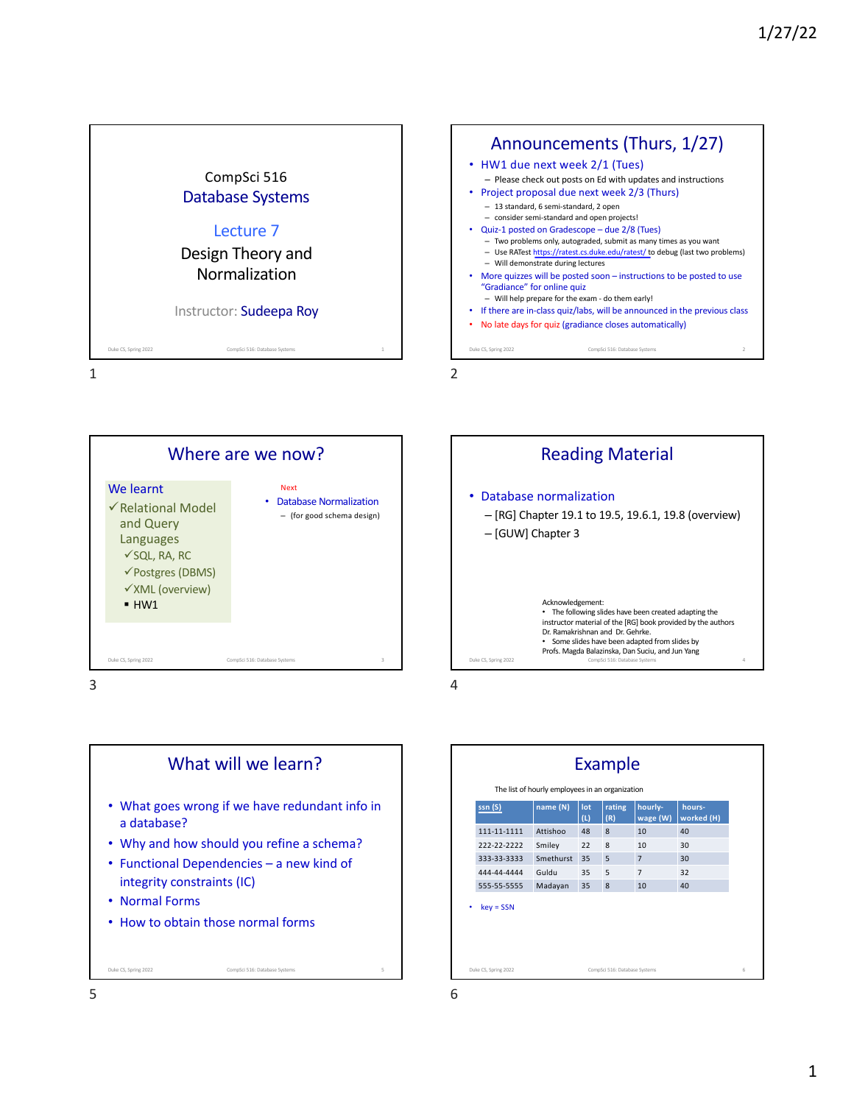







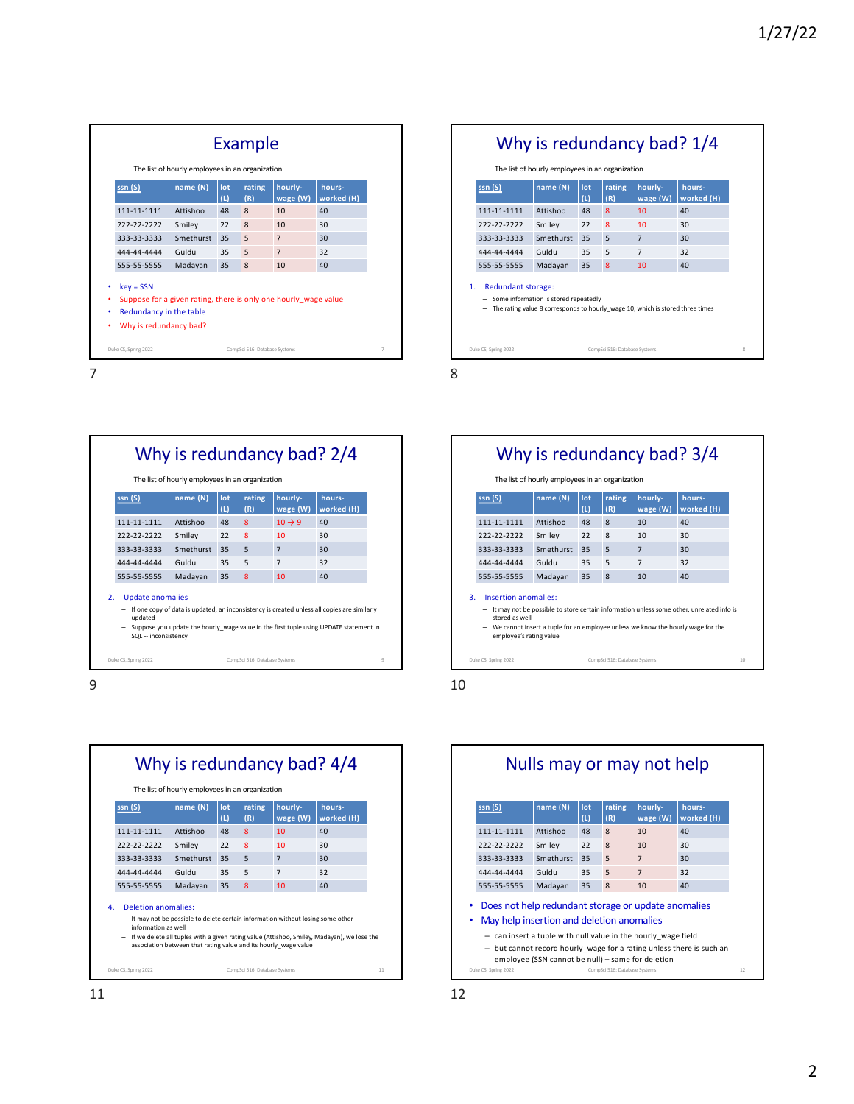| The list of hourly employees in an organization<br>name (N)<br>hourly-<br>rating<br>hours-<br>ssn(S)<br>lot<br>(L)<br>(R)<br>wage (W)<br>111-11-1111<br>Attishoo<br>48<br>8<br>40<br>10<br>222-22-2222<br>Smiley<br>8<br>30<br>22<br>10<br>Smethurst<br>35<br>5<br>30<br>333-33-3333<br>$\overline{7}$<br>Guldu<br>$\overline{7}$<br>32<br>35<br>5<br>444-44-4444<br>Madayan<br>35<br>40<br>8<br>10<br>555-55-5555<br>$key = SSN$<br>Suppose for a given rating, there is only one hourly wage value<br>Redundancy in the table<br>٠<br>Why is redundancy bad?<br>٠ |  |  |  | Example |  |            |
|---------------------------------------------------------------------------------------------------------------------------------------------------------------------------------------------------------------------------------------------------------------------------------------------------------------------------------------------------------------------------------------------------------------------------------------------------------------------------------------------------------------------------------------------------------------------|--|--|--|---------|--|------------|
|                                                                                                                                                                                                                                                                                                                                                                                                                                                                                                                                                                     |  |  |  |         |  |            |
|                                                                                                                                                                                                                                                                                                                                                                                                                                                                                                                                                                     |  |  |  |         |  | worked (H) |
|                                                                                                                                                                                                                                                                                                                                                                                                                                                                                                                                                                     |  |  |  |         |  |            |
|                                                                                                                                                                                                                                                                                                                                                                                                                                                                                                                                                                     |  |  |  |         |  |            |
|                                                                                                                                                                                                                                                                                                                                                                                                                                                                                                                                                                     |  |  |  |         |  |            |
|                                                                                                                                                                                                                                                                                                                                                                                                                                                                                                                                                                     |  |  |  |         |  |            |
|                                                                                                                                                                                                                                                                                                                                                                                                                                                                                                                                                                     |  |  |  |         |  |            |
|                                                                                                                                                                                                                                                                                                                                                                                                                                                                                                                                                                     |  |  |  |         |  |            |
| Duke CS, Spring 2022<br>CompSci 516: Database Systems                                                                                                                                                                                                                                                                                                                                                                                                                                                                                                               |  |  |  |         |  |            |



|                           | Why is redundancy bad? 2/4<br>The list of hourly employees in an organization                                                                                                                                                           |            |               |                     |                      |
|---------------------------|-----------------------------------------------------------------------------------------------------------------------------------------------------------------------------------------------------------------------------------------|------------|---------------|---------------------|----------------------|
| ssn(S)                    | name(N)                                                                                                                                                                                                                                 | lot<br>(L) | rating<br>(R) | hourly-<br>wage (W) | hours-<br>worked (H) |
| 111-11-1111               | Attishoo                                                                                                                                                                                                                                | 48         | 8             | $10 \rightarrow 9$  | 40                   |
| 222-22-2222               | Smiley                                                                                                                                                                                                                                  | 22         | 8             | 10                  | 30                   |
| 333-33-3333               | Smethurst                                                                                                                                                                                                                               | 35         | 5             | $\overline{7}$      | 30                   |
| 444-44-4444               | Guldu                                                                                                                                                                                                                                   | 35         | 5             | $\overline{7}$      | 32                   |
| 555-55-5555               | Madayan                                                                                                                                                                                                                                 | 35         | 8             | 10                  | 40                   |
| 2.<br>$\equiv$<br>updated | <b>Update anomalies</b><br>If one copy of data is updated, an inconsistency is created unless all copies are similarly<br>Suppose you update the hourly wage value in the first tuple using UPDATE statement in<br>SQL -- inconsistency |            |               |                     |                      |



| ssn(S)                           | name (N)                                                                                                               | lot<br>(L) | rating<br>(R)  | hourly-<br>wage (W) | hours-<br>worked (H) |
|----------------------------------|------------------------------------------------------------------------------------------------------------------------|------------|----------------|---------------------|----------------------|
| 111-11-1111                      | Attishoo                                                                                                               | 48         | 8              | 10                  | 40                   |
| 222-22-2222                      | Smiley                                                                                                                 | 22         | 8              | 10                  | 30                   |
| 333-33-3333                      | Smethurst                                                                                                              | 35         | 5              | $\overline{7}$      | 30                   |
| 444-44-4444                      | Guldu                                                                                                                  | 35         | 5              | $\overline{7}$      | 32                   |
| 555-55-5555                      | Madayan                                                                                                                | 35         | $\overline{8}$ | 10                  | 40                   |
| <b>Redundant storage:</b><br>- 1 | Some information is stored repeatedly<br>The rating value 8 corresponds to hourly wage 10, which is stored three times |            |                |                     |                      |

8



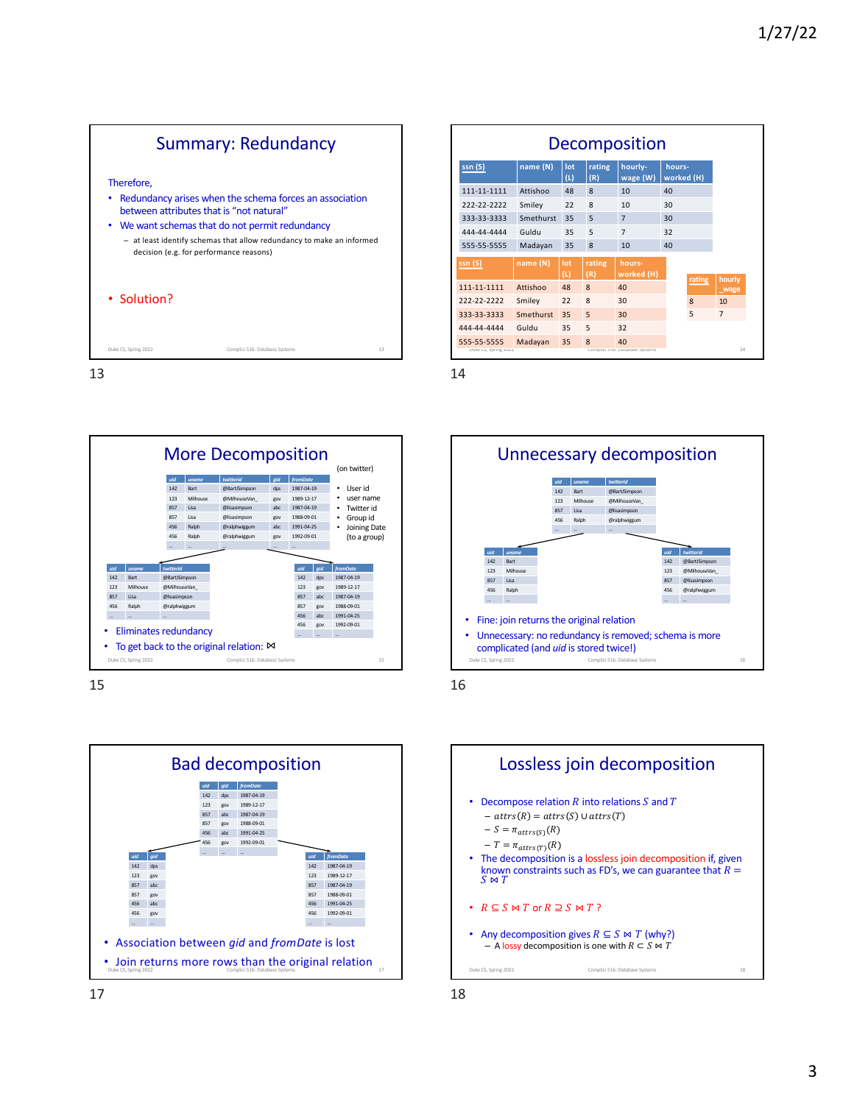



15



| <b>Decomposition</b>                |           |            |               |                                     |                      |              |                |  |
|-------------------------------------|-----------|------------|---------------|-------------------------------------|----------------------|--------------|----------------|--|
| ssn(S)                              | name (N)  | lot<br>(L) | rating<br>(R) | hourly-<br>wage (W)                 | hours-<br>worked (H) |              |                |  |
| 111-11-1111                         | Attishoo  | 48         | 8             | 10                                  | 40                   |              |                |  |
| 222-22-2222                         | Smiley    | 22         | 8             | 10                                  | 30                   |              |                |  |
| 333-33-3333                         | Smethurst | 35         | 5             | $\overline{7}$                      | 30                   |              |                |  |
| 444-44-4444                         | Guldu     | 35         | 5             | $\overline{7}$                      | 32                   |              |                |  |
| 555-55-5555                         | Madayan   | 35         | 8             | 10                                  | 40                   |              |                |  |
| ssn(S)                              | name (N)  | lot<br>(L) | rating<br>(R) | hours-<br>worked (H)                |                      |              | hourly         |  |
| 111-11-1111                         | Attishoo  | 48         | $\mathbf{8}$  | 40                                  |                      | rating       | wage           |  |
| 222-22-2222                         | Smiley    | 22         | 8             | 30                                  |                      | $\mathbf{8}$ | 10             |  |
| 333-33-3333                         | Smethurst | 35         | 5             | 30                                  |                      | 5            | $\overline{7}$ |  |
| 444-44-4444                         | Guldu     | 35         | 5             | 32                                  |                      |              |                |  |
| 555-55-5555<br>DUKE CS, SPFING ZUZZ | Madayan   | 35         | 8             | 40<br>Compsci 516: Database systems |                      |              | 14             |  |



16

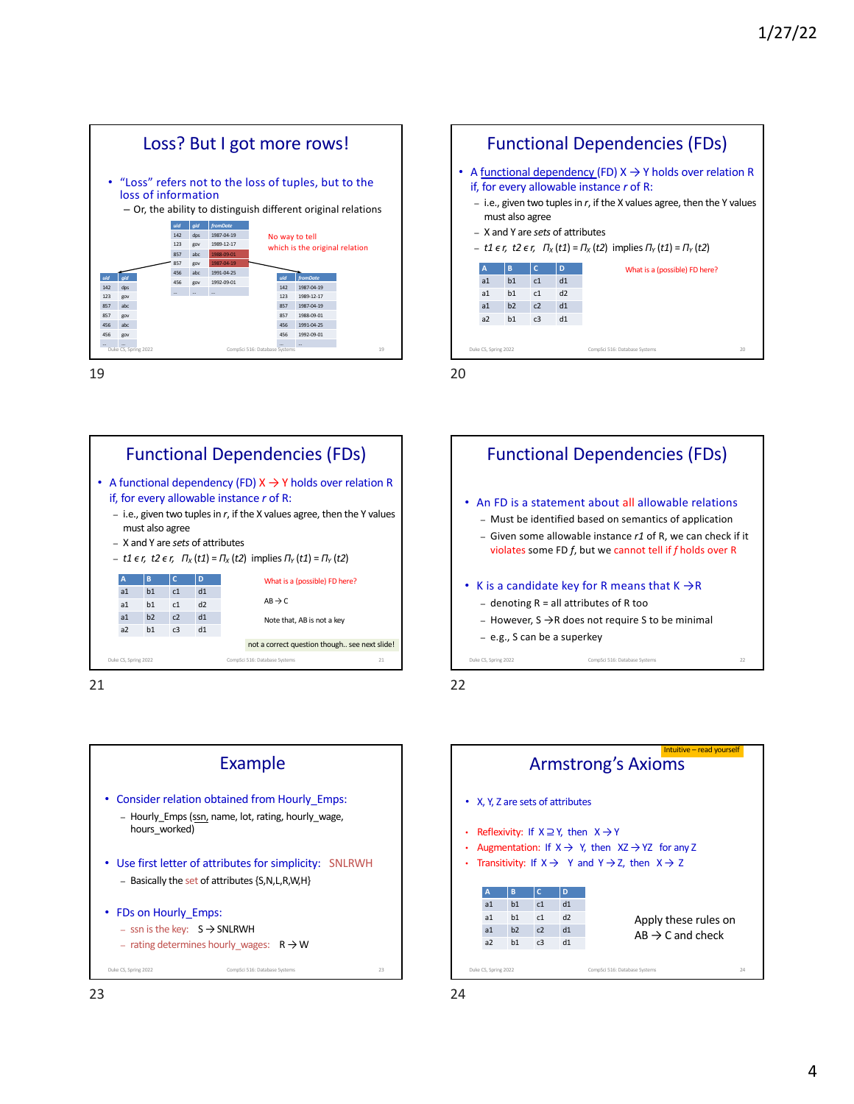



21







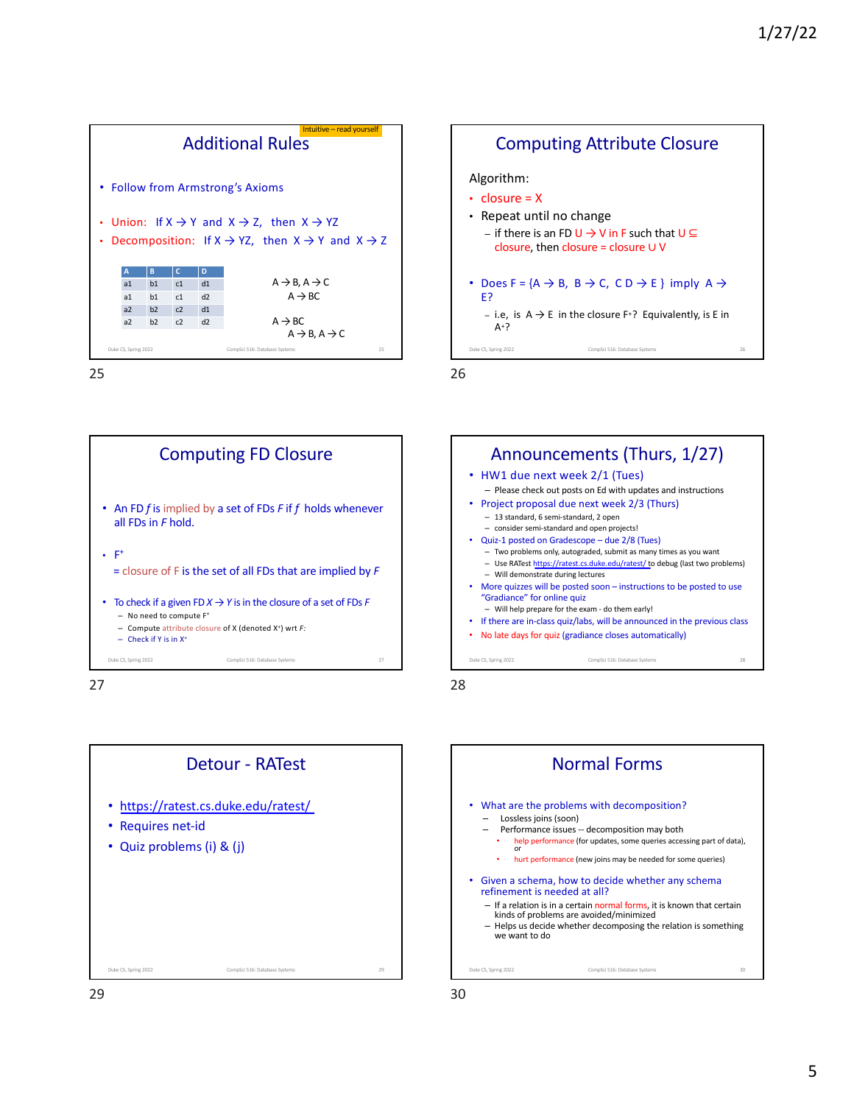





27





28

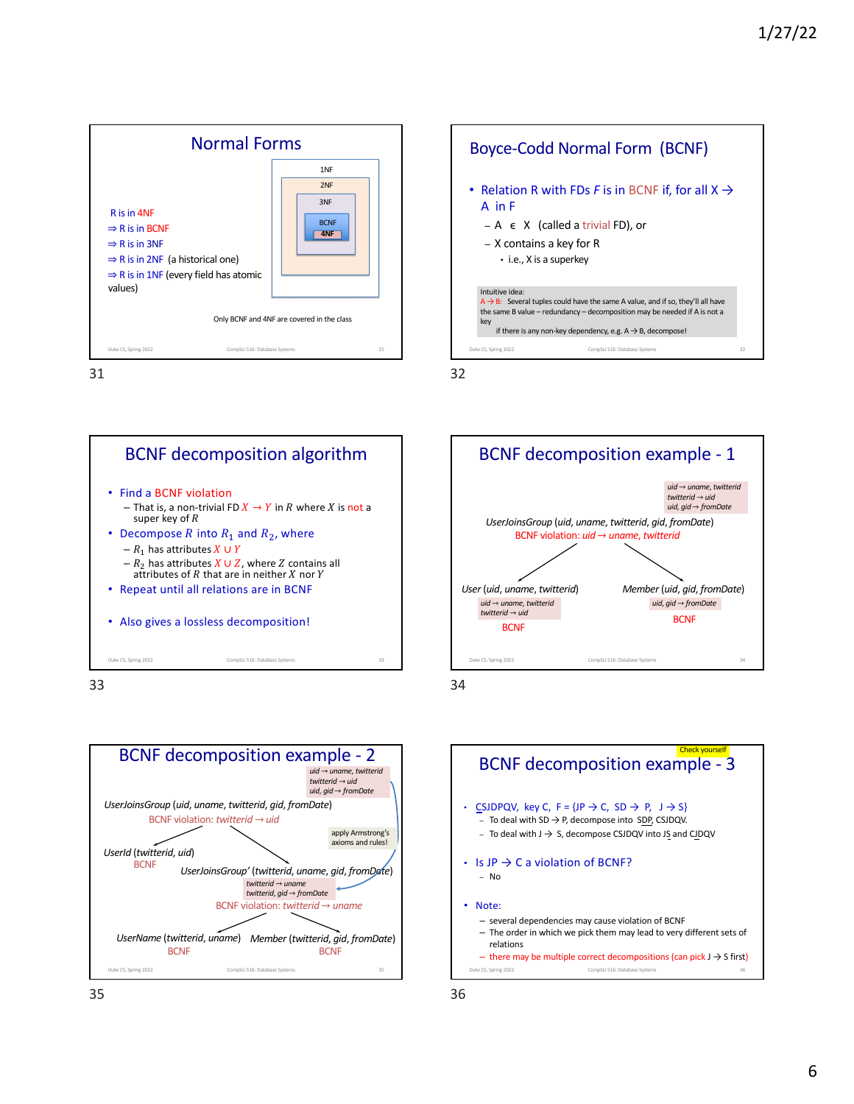





Boyce-Codd Normal Form (BCNF)

BCNF decomposition algorithm • Find a BCNF violation – That is, a non-trivial FD  $X \to Y$  in  $R$  where  $X$  is not a super key of  $R$ • Decompose  $R$  into  $R_1$  and  $R_2$ , where –  $R_1$  has attributes  $X \cup Y$ –  $R_2$  has attributes  $X \cup Z$ , where  $Z$  contains all attributes of  $R$  that are in neither  $X$  nor  $Y$ • Repeat until all relations are in BCNF • Also gives a lossless decomposition! Duke CS, Spring 2022 CompSci 516: Database Systems 33

33





34



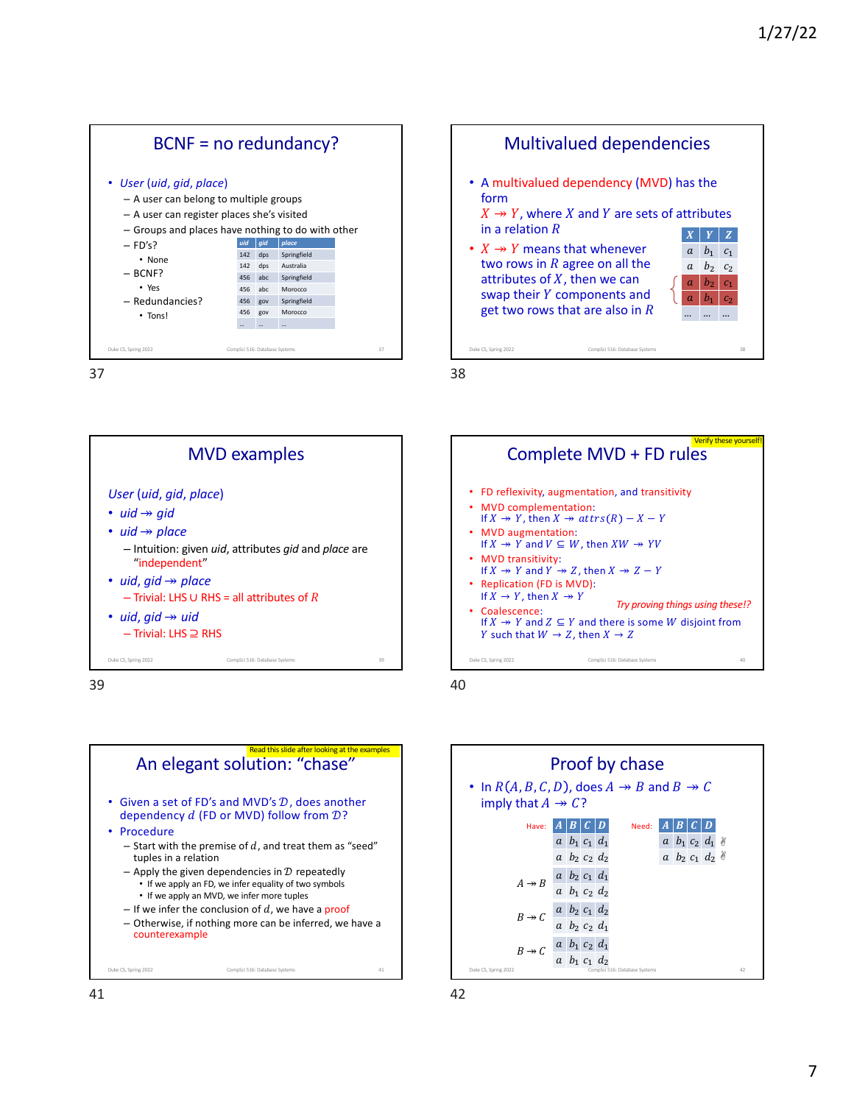















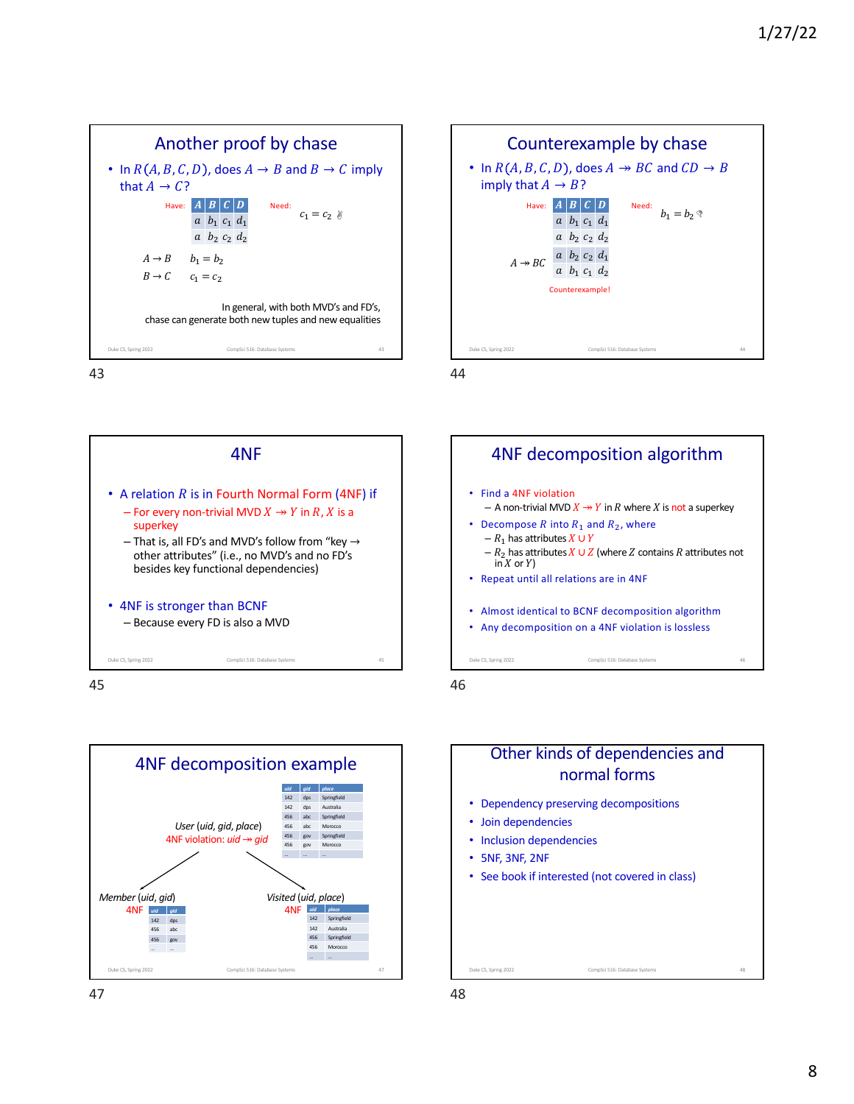







45